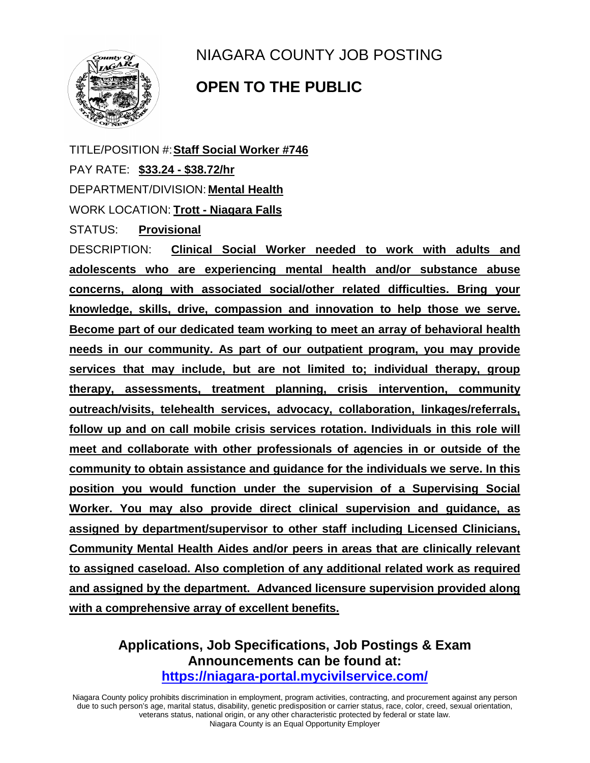

## NIAGARA COUNTY JOB POSTING

## **OPEN TO THE PUBLIC**

TITLE/POSITION #:**Staff Social Worker #746** PAY RATE: **\$33.24 - \$38.72/hr** DEPARTMENT/DIVISION: **Mental Health** WORK LOCATION: **Trott - Niagara Falls**

STATUS: **Provisional**

DESCRIPTION: **Clinical Social Worker needed to work with adults and adolescents who are experiencing mental health and/or substance abuse concerns, along with associated social/other related difficulties. Bring your knowledge, skills, drive, compassion and innovation to help those we serve. Become part of our dedicated team working to meet an array of behavioral health needs in our community. As part of our outpatient program, you may provide services that may include, but are not limited to; individual therapy, group therapy, assessments, treatment planning, crisis intervention, community outreach/visits, telehealth services, advocacy, collaboration, linkages/referrals, follow up and on call mobile crisis services rotation. Individuals in this role will meet and collaborate with other professionals of agencies in or outside of the community to obtain assistance and guidance for the individuals we serve. In this position you would function under the supervision of a Supervising Social Worker. You may also provide direct clinical supervision and guidance, as assigned by department/supervisor to other staff including Licensed Clinicians, Community Mental Health Aides and/or peers in areas that are clinically relevant to assigned caseload. Also completion of any additional related work as required and assigned by the department. Advanced licensure supervision provided along with a comprehensive array of excellent benefits.** 

## **Applications, Job Specifications, Job Postings & Exam Announcements can be found at: <https://niagara-portal.mycivilservice.com/>**

Niagara County policy prohibits discrimination in employment, program activities, contracting, and procurement against any person due to such person's age, marital status, disability, genetic predisposition or carrier status, race, color, creed, sexual orientation, veterans status, national origin, or any other characteristic protected by federal or state law. Niagara County is an Equal Opportunity Employer